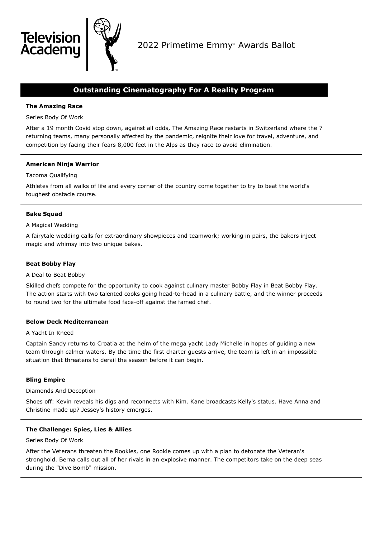

# **Outstanding Cinematography For A Reality Program**

# **The Amazing Race**

**Televisio** Academu

Series Body Of Work

After a 19 month Covid stop down, against all odds, The Amazing Race restarts in Switzerland where the 7 returning teams, many personally affected by the pandemic, reignite their love for travel, adventure, and competition by facing their fears 8,000 feet in the Alps as they race to avoid elimination.

# **American Ninja Warrior**

# Tacoma Qualifying

Athletes from all walks of life and every corner of the country come together to try to beat the world's toughest obstacle course.

## **Bake Squad**

## A Magical Wedding

A fairytale wedding calls for extraordinary showpieces and teamwork; working in pairs, the bakers inject magic and whimsy into two unique bakes.

## **Beat Bobby Flay**

## A Deal to Beat Bobby

Skilled chefs compete for the opportunity to cook against culinary master Bobby Flay in Beat Bobby Flay. The action starts with two talented cooks going head-to-head in a culinary battle, and the winner proceeds to round two for the ultimate food face-off against the famed chef.

## **Below Deck Mediterranean**

## A Yacht In Kneed

Captain Sandy returns to Croatia at the helm of the mega yacht Lady Michelle in hopes of guiding a new team through calmer waters. By the time the first charter guests arrive, the team is left in an impossible situation that threatens to derail the season before it can begin.

# **Bling Empire**

## Diamonds And Deception

Shoes off: Kevin reveals his digs and reconnects with Kim. Kane broadcasts Kelly's status. Have Anna and Christine made up? Jessey's history emerges.

## **The Challenge: Spies, Lies & Allies**

## Series Body Of Work

After the Veterans threaten the Rookies, one Rookie comes up with a plan to detonate the Veteran's stronghold. Berna calls out all of her rivals in an explosive manner. The competitors take on the deep seas during the "Dive Bomb" mission.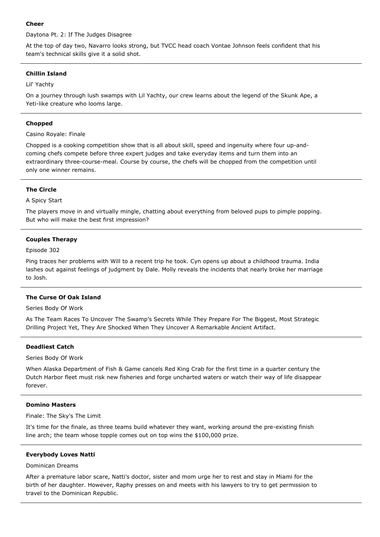## **Cheer**

Daytona Pt. 2: If The Judges Disagree

At the top of day two, Navarro looks strong, but TVCC head coach Vontae Johnson feels confident that his team's technical skills give it a solid shot.

## **Chillin Island**

Lil' Yachty

On a journey through lush swamps with Lil Yachty, our crew learns about the legend of the Skunk Ape, a Yeti-like creature who looms large.

#### **Chopped**

Casino Royale: Finale

Chopped is a cooking competition show that is all about skill, speed and ingenuity where four up-andcoming chefs compete before three expert judges and take everyday items and turn them into an extraordinary three-course-meal. Course by course, the chefs will be chopped from the competition until only one winner remains.

#### **The Circle**

## A Spicy Start

The players move in and virtually mingle, chatting about everything from beloved pups to pimple popping. But who will make the best first impression?

#### **Couples Therapy**

#### Episode 302

Ping traces her problems with Will to a recent trip he took. Cyn opens up about a childhood trauma. India lashes out against feelings of judgment by Dale. Molly reveals the incidents that nearly broke her marriage to Josh.

## **The Curse Of Oak Island**

Series Body Of Work

As The Team Races To Uncover The Swamp's Secrets While They Prepare For The Biggest, Most Strategic Drilling Project Yet, They Are Shocked When They Uncover A Remarkable Ancient Artifact.

## **Deadliest Catch**

Series Body Of Work

When Alaska Department of Fish & Game cancels Red King Crab for the first time in a quarter century the Dutch Harbor fleet must risk new fisheries and forge uncharted waters or watch their way of life disappear forever.

## **Domino Masters**

Finale: The Sky's The Limit

It's time for the finale, as three teams build whatever they want, working around the pre-existing finish line arch; the team whose topple comes out on top wins the \$100,000 prize.

#### **Everybody Loves Natti**

## Dominican Dreams

After a premature labor scare, Natti's doctor, sister and mom urge her to rest and stay in Miami for the birth of her daughter. However, Raphy presses on and meets with his lawyers to try to get permission to travel to the Dominican Republic.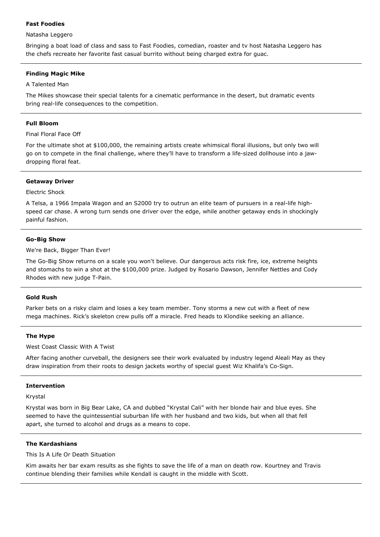## **Fast Foodies**

## Natasha Leggero

Bringing a boat load of class and sass to Fast Foodies, comedian, roaster and tv host Natasha Leggero has the chefs recreate her favorite fast casual burrito without being charged extra for guac.

## **Finding Magic Mike**

## A Talented Man

The Mikes showcase their special talents for a cinematic performance in the desert, but dramatic events bring real-life consequences to the competition.

## **Full Bloom**

Final Floral Face Off

For the ultimate shot at \$100,000, the remaining artists create whimsical floral illusions, but only two will go on to compete in the final challenge, where they'll have to transform a life-sized dollhouse into a jawdropping floral feat.

## **Getaway Driver**

## Electric Shock

A Telsa, a 1966 Impala Wagon and an S2000 try to outrun an elite team of pursuers in a real-life highspeed car chase. A wrong turn sends one driver over the edge, while another getaway ends in shockingly painful fashion.

## **Go-Big Show**

We're Back, Bigger Than Ever!

The Go-Big Show returns on a scale you won't believe. Our dangerous acts risk fire, ice, extreme heights and stomachs to win a shot at the \$100,000 prize. Judged by Rosario Dawson, Jennifer Nettles and Cody Rhodes with new judge T-Pain.

## **Gold Rush**

Parker bets on a risky claim and loses a key team member. Tony storms a new cut with a fleet of new mega machines. Rick's skeleton crew pulls off a miracle. Fred heads to Klondike seeking an alliance.

## **The Hype**

West Coast Classic With A Twist

After facing another curveball, the designers see their work evaluated by industry legend Aleali May as they draw inspiration from their roots to design jackets worthy of special guest Wiz Khalifa's Co-Sign.

# **Intervention**

Krystal

Krystal was born in Big Bear Lake, CA and dubbed "Krystal Cali" with her blonde hair and blue eyes. She seemed to have the quintessential suburban life with her husband and two kids, but when all that fell apart, she turned to alcohol and drugs as a means to cope.

## **The Kardashians**

This Is A Life Or Death Situation

Kim awaits her bar exam results as she fights to save the life of a man on death row. Kourtney and Travis continue blending their families while Kendall is caught in the middle with Scott.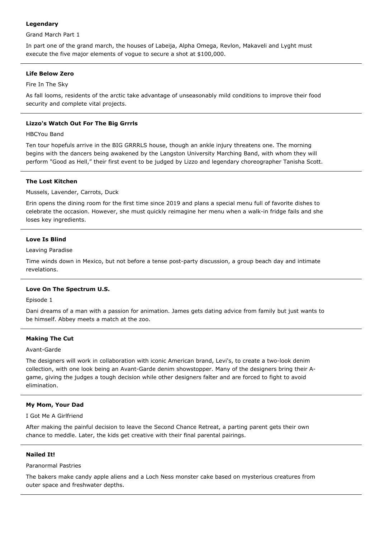# **Legendary**

Grand March Part 1

In part one of the grand march, the houses of Labeija, Alpha Omega, Revlon, Makaveli and Lyght must execute the five major elements of vogue to secure a shot at \$100,000.

# **Life Below Zero**

Fire In The Sky

As fall looms, residents of the arctic take advantage of unseasonably mild conditions to improve their food security and complete vital projects.

# **Lizzo's Watch Out For The Big Grrrls**

HBCYou Band

Ten tour hopefuls arrive in the BIG GRRRLS house, though an ankle injury threatens one. The morning begins with the dancers being awakened by the Langston University Marching Band, with whom they will perform "Good as Hell," their first event to be judged by Lizzo and legendary choreographer Tanisha Scott.

# **The Lost Kitchen**

Mussels, Lavender, Carrots, Duck

Erin opens the dining room for the first time since 2019 and plans a special menu full of favorite dishes to celebrate the occasion. However, she must quickly reimagine her menu when a walk-in fridge fails and she loses key ingredients.

# **Love Is Blind**

Leaving Paradise

Time winds down in Mexico, but not before a tense post-party discussion, a group beach day and intimate revelations.

# **Love On The Spectrum U.S.**

Episode 1

Dani dreams of a man with a passion for animation. James gets dating advice from family but just wants to be himself. Abbey meets a match at the zoo.

# **Making The Cut**

Avant-Garde

The designers will work in collaboration with iconic American brand, Levi's, to create a two-look denim collection, with one look being an Avant-Garde denim showstopper. Many of the designers bring their Agame, giving the judges a tough decision while other designers falter and are forced to fight to avoid elimination.

# **My Mom, Your Dad**

I Got Me A Girlfriend

After making the painful decision to leave the Second Chance Retreat, a parting parent gets their own chance to meddle. Later, the kids get creative with their final parental pairings.

# **Nailed It!**

Paranormal Pastries

The bakers make candy apple aliens and a Loch Ness monster cake based on mysterious creatures from outer space and freshwater depths.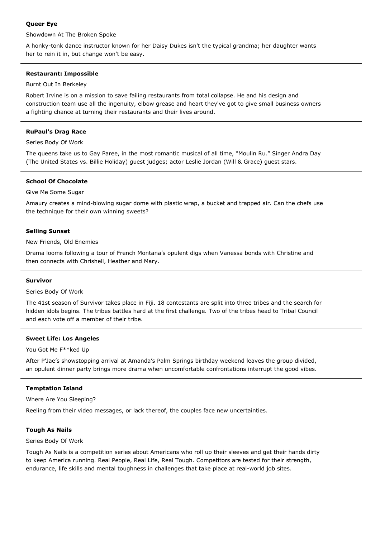# **Queer Eye**

Showdown At The Broken Spoke

A honky-tonk dance instructor known for her Daisy Dukes isn't the typical grandma; her daughter wants her to rein it in, but change won't be easy.

# **Restaurant: Impossible**

Burnt Out In Berkeley

Robert Irvine is on a mission to save failing restaurants from total collapse. He and his design and construction team use all the ingenuity, elbow grease and heart they've got to give small business owners a fighting chance at turning their restaurants and their lives around.

# **RuPaul's Drag Race**

Series Body Of Work

The queens take us to Gay Paree, in the most romantic musical of all time, "Moulin Ru." Singer Andra Day (The United States vs. Billie Holiday) guest judges; actor Leslie Jordan (Will & Grace) guest stars.

# **School Of Chocolate**

Give Me Some Sugar

Amaury creates a mind-blowing sugar dome with plastic wrap, a bucket and trapped air. Can the chefs use the technique for their own winning sweets?

## **Selling Sunset**

New Friends, Old Enemies

Drama looms following a tour of French Montana's opulent digs when Vanessa bonds with Christine and then connects with Chrishell, Heather and Mary.

## **Survivor**

Series Body Of Work

The 41st season of Survivor takes place in Fiji. 18 contestants are split into three tribes and the search for hidden idols begins. The tribes battles hard at the first challenge. Two of the tribes head to Tribal Council and each vote off a member of their tribe.

# **Sweet Life: Los Angeles**

You Got Me F\*\*ked Up

After P'Jae's showstopping arrival at Amanda's Palm Springs birthday weekend leaves the group divided, an opulent dinner party brings more drama when uncomfortable confrontations interrupt the good vibes.

# **Temptation Island**

Where Are You Sleeping?

Reeling from their video messages, or lack thereof, the couples face new uncertainties.

# **Tough As Nails**

Series Body Of Work

Tough As Nails is a competition series about Americans who roll up their sleeves and get their hands dirty to keep America running. Real People, Real Life, Real Tough. Competitors are tested for their strength, endurance, life skills and mental toughness in challenges that take place at real-world job sites.